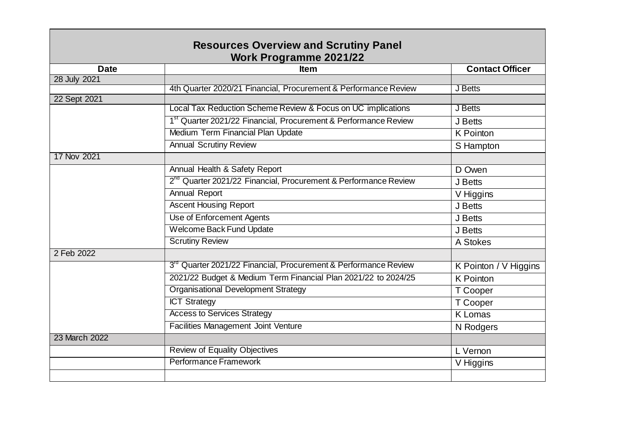| <b>Resources Overview and Scrutiny Panel</b> |                                                                             |                        |  |
|----------------------------------------------|-----------------------------------------------------------------------------|------------------------|--|
|                                              | <b>Work Programme 2021/22</b>                                               |                        |  |
| <b>Date</b>                                  | <b>Item</b>                                                                 | <b>Contact Officer</b> |  |
| 28 July 2021                                 |                                                                             |                        |  |
|                                              | 4th Quarter 2020/21 Financial, Procurement & Performance Review             | J Betts                |  |
| 22 Sept 2021                                 |                                                                             |                        |  |
|                                              | Local Tax Reduction Scheme Review & Focus on UC implications                | J Betts                |  |
|                                              | 1 <sup>st</sup> Quarter 2021/22 Financial, Procurement & Performance Review | J Betts                |  |
|                                              | Medium Term Financial Plan Update                                           | <b>K</b> Pointon       |  |
|                                              | <b>Annual Scrutiny Review</b>                                               | S Hampton              |  |
| 17 Nov 2021                                  |                                                                             |                        |  |
|                                              | Annual Health & Safety Report                                               | D Owen                 |  |
|                                              | 2 <sup>nd</sup> Quarter 2021/22 Financial, Procurement & Performance Review | J Betts                |  |
|                                              | <b>Annual Report</b>                                                        | V Higgins              |  |
|                                              | <b>Ascent Housing Report</b>                                                | J Betts                |  |
|                                              | Use of Enforcement Agents                                                   | J Betts                |  |
|                                              | Welcome Back Fund Update                                                    | J Betts                |  |
|                                              | <b>Scrutiny Review</b>                                                      | A Stokes               |  |
| 2 Feb 2022                                   |                                                                             |                        |  |
|                                              | 3 <sup>rd</sup> Quarter 2021/22 Financial, Procurement & Performance Review | K Pointon / V Higgins  |  |
|                                              | 2021/22 Budget & Medium Term Financial Plan 2021/22 to 2024/25              | <b>K</b> Pointon       |  |
|                                              | <b>Organisational Development Strategy</b>                                  | T Cooper               |  |
|                                              | <b>ICT Strategy</b>                                                         | T Cooper               |  |
|                                              | <b>Access to Services Strategy</b>                                          | <b>K</b> Lomas         |  |
|                                              | <b>Facilities Management Joint Venture</b>                                  | N Rodgers              |  |
| 23 March 2022                                |                                                                             |                        |  |
|                                              | <b>Review of Equality Objectives</b>                                        | L Vernon               |  |
|                                              | Performance Framework                                                       | V Higgins              |  |
|                                              |                                                                             |                        |  |